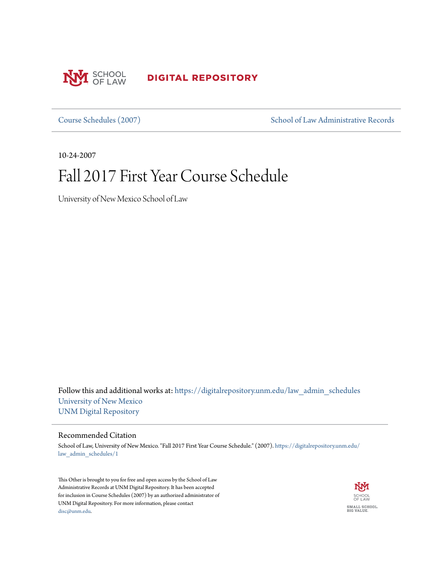

**DIGITAL REPOSITORY** 

[Course Schedules \(2007\)](https://digitalrepository.unm.edu/law_admin_schedules?utm_source=digitalrepository.unm.edu%2Flaw_admin_schedules%2F1&utm_medium=PDF&utm_campaign=PDFCoverPages) [School of Law Administrative Records](https://digitalrepository.unm.edu/law_admin?utm_source=digitalrepository.unm.edu%2Flaw_admin_schedules%2F1&utm_medium=PDF&utm_campaign=PDFCoverPages)

10-24-2007

# Fall 2017 First Year Course Schedule

University of New Mexico School of Law

Follow this and additional works at: [https://digitalrepository.unm.edu/law\\_admin\\_schedules](https://digitalrepository.unm.edu/law_admin_schedules?utm_source=digitalrepository.unm.edu%2Flaw_admin_schedules%2F1&utm_medium=PDF&utm_campaign=PDFCoverPages) [University of New Mexico](https://digitalrepository.unm.edu?utm_source=digitalrepository.unm.edu%2Flaw_admin_schedules%2F1&utm_medium=PDF&utm_campaign=PDFCoverPages) [UNM Digital Repository](https://digitalrepository.unm.edu?utm_source=digitalrepository.unm.edu%2Flaw_admin_schedules%2F1&utm_medium=PDF&utm_campaign=PDFCoverPages)

#### Recommended Citation

School of Law, University of New Mexico. "Fall 2017 First Year Course Schedule." (2007). [https://digitalrepository.unm.edu/](https://digitalrepository.unm.edu/law_admin_schedules/1?utm_source=digitalrepository.unm.edu%2Flaw_admin_schedules%2F1&utm_medium=PDF&utm_campaign=PDFCoverPages) [law\\_admin\\_schedules/1](https://digitalrepository.unm.edu/law_admin_schedules/1?utm_source=digitalrepository.unm.edu%2Flaw_admin_schedules%2F1&utm_medium=PDF&utm_campaign=PDFCoverPages)

This Other is brought to you for free and open access by the School of Law Administrative Records at UNM Digital Repository. It has been accepted for inclusion in Course Schedules (2007) by an authorized administrator of UNM Digital Repository. For more information, please contact [disc@unm.edu](mailto:disc@unm.edu).